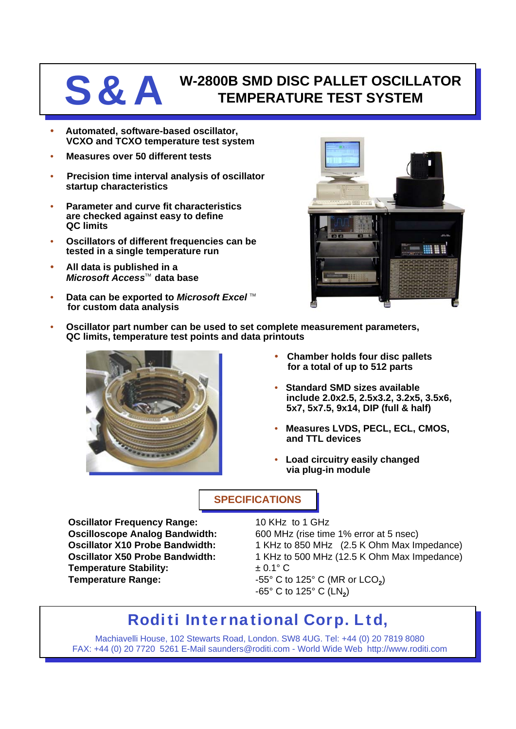# **S&A** W-2800B SMD DISC PALLET OSCILLATOR<br>
TEMPERATURE TEST SYSTEM **TEMPERATURE TEST SYSTEM**

- **Automated, software-based oscillator, VCXO and TCXO temperature test system**
- **Measures over 50 different tests**
- **Precision time interval analysis of oscillator startup characteristics**
- **Parameter and curve fit characteristics are checked against easy to define QC limits**
- **Oscillators of different frequencies can be tested in a single temperature run**
- **All data is published in a** *Microsoft Access***<sup>™</sup> data base**
- **Data can be exported to Microsoft Excel**™ **for custom data analysis**



• **Oscillator part number can be used to set complete measurement parameters, QC limits, temperature test points and data printouts**



- **Chamber holds four disc pallets for a total of up to 512 parts**
- **Standard SMD sizes available include 2.0x2.5, 2.5x3.2, 3.2x5, 3.5x6, 5x7, 5x7.5, 9x14, DIP (full & half)**
- **Measures LVDS, PECL, ECL, CMOS, and TTL devices**
- **Load circuitry easily changed via plug-in module**

## **SPECIFICATIONS**

**Oscillator Frequency Range:** 10 KHz to 1 GHz **Temperature Stability:**  $\pm 0.1^{\circ}$  C **Temperature Range:**  $-55^{\circ}$  C to 125° C (MR or LCO<sub>2</sub>)

**Oscilloscope Analog Bandwidth:** 600 MHz (rise time 1% error at 5 nsec) **Oscillator X10 Probe Bandwidth:** 1 KHz to 850 MHz (2.5 K Ohm Max Impedance) **Oscillator X50 Probe Bandwidth:** 1 KHz to 500 MHz (12.5 K Ohm Max Impedance)  $-65^{\circ}$  C to 125 $^{\circ}$  C (LN<sub>2</sub>)

# **Roditi International Corp. Ltd,**

Machiavelli House, 102 Stewarts Road, London. SW8 4UG. Tel: +44 (0) 20 7819 8080 FAX: +44 (0) 20 7720 5261 E-Mail saunders@roditi.com - World Wide Web http://www.roditi.com